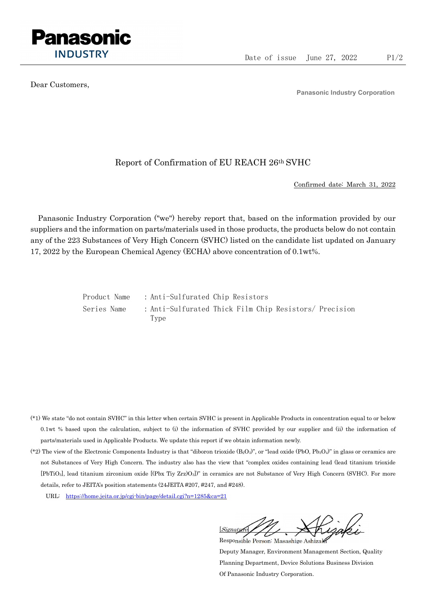

Dear Customers,

Panasonic Industry Corporation

## Report of Confirmation of EU REACH 26th SVHC

Confirmed date: March 31, 2022

Panasonic Industry Corporation ("we") hereby report that, based on the information provided by our suppliers and the information on parts/materials used in those products, the products below do not contain any of the 223 Substances of Very High Concern (SVHC) listed on the candidate list updated on January 17, 2022 by the European Chemical Agency (ECHA) above concentration of 0.1wt%.

> Product Name : Anti-Sulfurated Chip Resistors Series Name : Anti-Sulfurated Thick Film Chip Resistors/ Precision Type

- (\*1) We state "do not contain SVHC" in this letter when certain SVHC is present in Applicable Products in concentration equal to or below 0.1wt % based upon the calculation, subject to (i) the information of SVHC provided by our supplier and (ii) the information of parts/materials used in Applicable Products. We update this report if we obtain information newly.
- (\*2) The view of the Electronic Components Industry is that "diboron trioxide  $(B_2O_3)$ ", or "lead oxide (PbO, Pb<sub>3</sub>O<sub>4</sub>)" in glass or ceramics are not Substances of Very High Concern. The industry also has the view that "complex oxides containing lead (lead titanium trioxide [PbTiO3], lead titanium zirconium oxide [(Pbx Tiy Zrz)O3])" in ceramics are not Substance of Very High Concern (SVHC). For more details, refer to JEITA's position statements (24JEITA #207, #247, and #248).
	- URL: https://home.jeita.or.jp/cgi-bin/page/detail.cgi?n=1285&ca=21

[Signature] Responsible Person: Masashige Ashizaki

Deputy Manager, Environment Management Section, Quality Planning Department, Device Solutions Business Division Of Panasonic Industry Corporation.